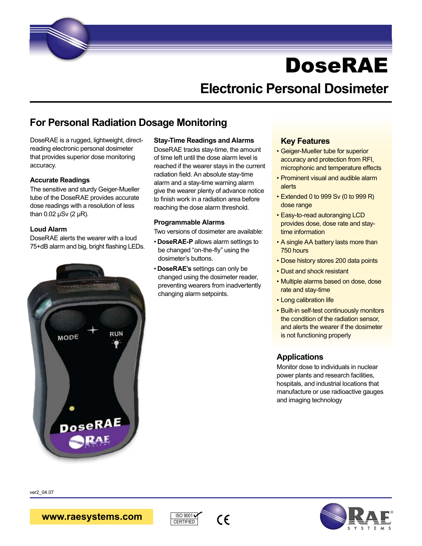

## **Electronic Personal Dosimeter**

### **For Personal Radiation Dosage Monitoring**

DoseRAE is a rugged, lightweight, directreading electronic personal dosimeter that provides superior dose monitoring accuracy.

#### **Accurate Readings**

The sensitive and sturdy Geiger-Mueller tube of the DoseRAE provides accurate dose readings with a resolution of less than 0.02  $\mu$ Sv (2  $\mu$ R).

#### **Loud Alarm**

DoseRAE alerts the wearer with a loud 75+dB alarm and big, bright flashing LEDs.

# **RUN** MODE DoseRAE

#### **Stay-Time Readings and Alarms**

DoseRAE tracks stay-time, the amount of time left until the dose alarm level is reached if the wearer stays in the current radiation field. An absolute stay-time alarm and a stay-time warning alarm give the wearer plenty of advance notice to finish work in a radiation area before reaching the dose alarm threshold.

#### **Programmable Alarms**

Two versions of dosimeter are available:

- **DoseRAE-P** allows alarm settings to be changed "on-the-fly" using the dosimeter's buttons.
- **DoseRAE's** settings can only be changed using the dosimeter reader, preventing wearers from inadvertently changing alarm setpoints.

#### **Key Features**

- Geiger-Mueller tube for superior accuracy and protection from RFI, microphonic and temperature effects
- Prominent visual and audible alarm alerts
- Extended 0 to 999 Sv (0 to 999 R) dose range
- Easy-to-read autoranging LCD provides dose, dose rate and staytime information
- A single AA battery lasts more than 750 hours
- Dose history stores 200 data points
- Dust and shock resistant
- Multiple alarms based on dose, dose rate and stay-time
- Long calibration life
- Built-in self-test continuously monitors the condition of the radiation sensor, and alerts the wearer if the dosimeter is not functioning properly

#### **Applications**

Monitor dose to individuals in nuclear power plants and research facilities, hospitals, and industrial locations that manufacture or use radioactive gauges and imaging technology

ver2\_04.07